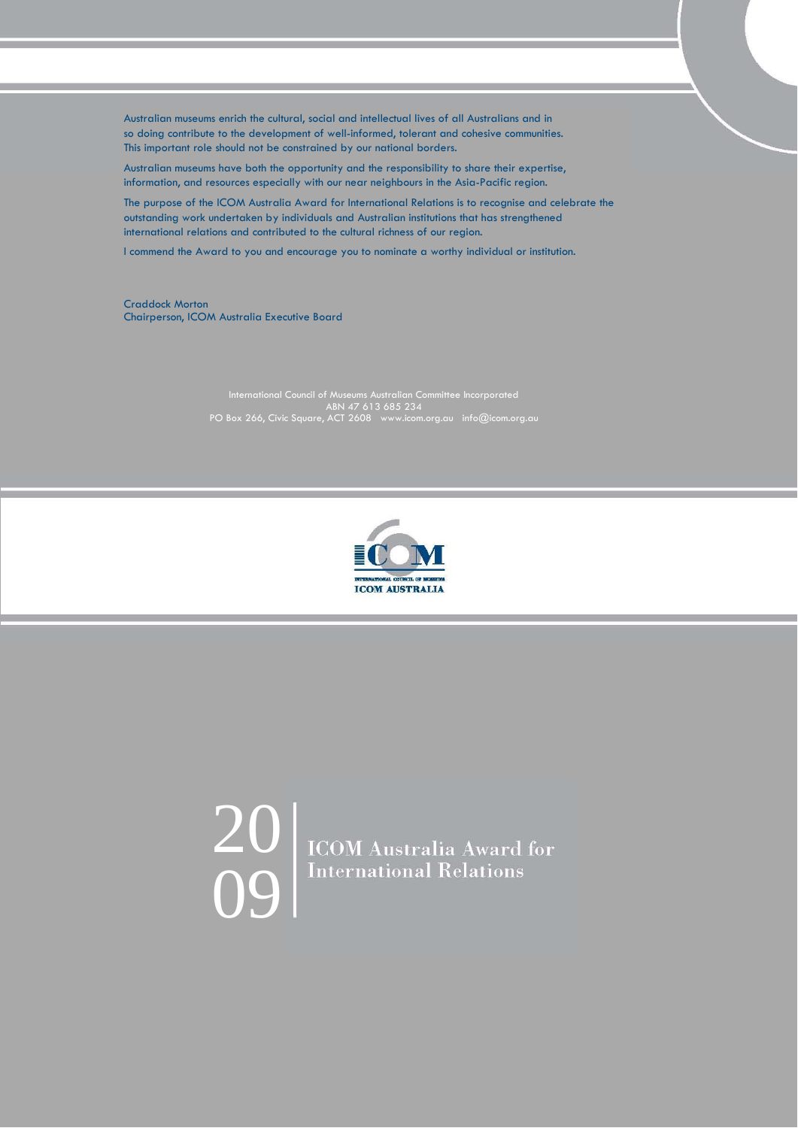Australian museums enrich the cultural, social and intellectual lives of all Australians and in so doing contribute to the development of well-informed, tolerant and cohesive communities. This important role should not be constrained by our national borders.

Australian museums have both the opportunity and the responsibility to share their expertise, information, and resources especially with our near neighbours in the Asia-Pacific region.

The purpose of the ICOM Australia Award for International Relations is to recognise and celebrate the outstanding work undertaken by individuals and Australian institutions that has strengthened international relations and contributed to the cultural richness of our region.

I commend the Award to you and encourage you to nominate a worthy individual or institution.

Craddock Morton Chairperson, ICOM Australia Executive Board

> ABN 47 613 685 234 PO Box 266, Civic Square, ACT 2608 www.icom.org.au info@icom.org.au